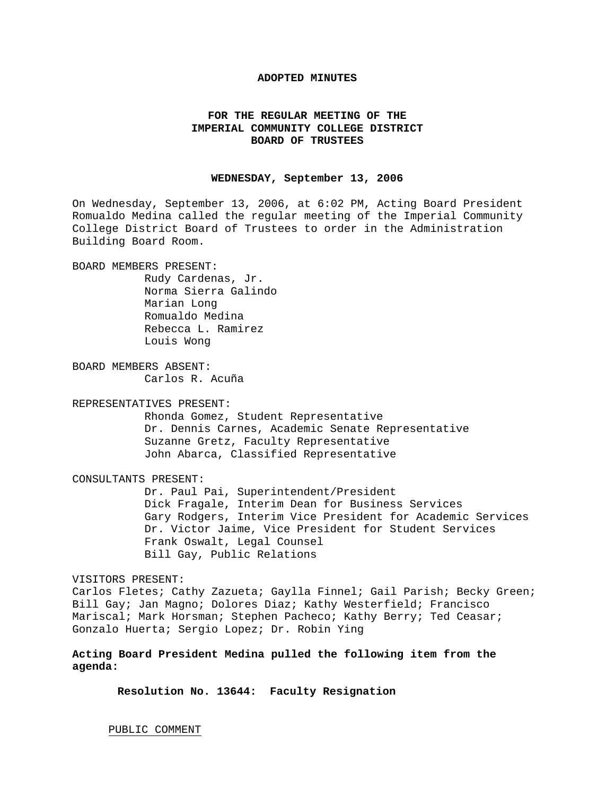## **ADOPTED MINUTES**

# **FOR THE REGULAR MEETING OF THE IMPERIAL COMMUNITY COLLEGE DISTRICT BOARD OF TRUSTEES**

## **WEDNESDAY, September 13, 2006**

On Wednesday, September 13, 2006, at 6:02 PM, Acting Board President Romualdo Medina called the regular meeting of the Imperial Community College District Board of Trustees to order in the Administration Building Board Room.

BOARD MEMBERS PRESENT:

 Rudy Cardenas, Jr. Norma Sierra Galindo Marian Long Romualdo Medina Rebecca L. Ramirez Louis Wong

BOARD MEMBERS ABSENT: Carlos R. Acuña

REPRESENTATIVES PRESENT:

Rhonda Gomez, Student Representative Dr. Dennis Carnes, Academic Senate Representative Suzanne Gretz, Faculty Representative John Abarca, Classified Representative

CONSULTANTS PRESENT:

 Dr. Paul Pai, Superintendent/President Dick Fragale, Interim Dean for Business Services Gary Rodgers, Interim Vice President for Academic Services Dr. Victor Jaime, Vice President for Student Services Frank Oswalt, Legal Counsel Bill Gay, Public Relations

VISITORS PRESENT:

Carlos Fletes; Cathy Zazueta; Gaylla Finnel; Gail Parish; Becky Green; Bill Gay; Jan Magno; Dolores Diaz; Kathy Westerfield; Francisco Mariscal; Mark Horsman; Stephen Pacheco; Kathy Berry; Ted Ceasar; Gonzalo Huerta; Sergio Lopez; Dr. Robin Ying

**Acting Board President Medina pulled the following item from the agenda:** 

 **Resolution No. 13644: Faculty Resignation** 

PUBLIC COMMENT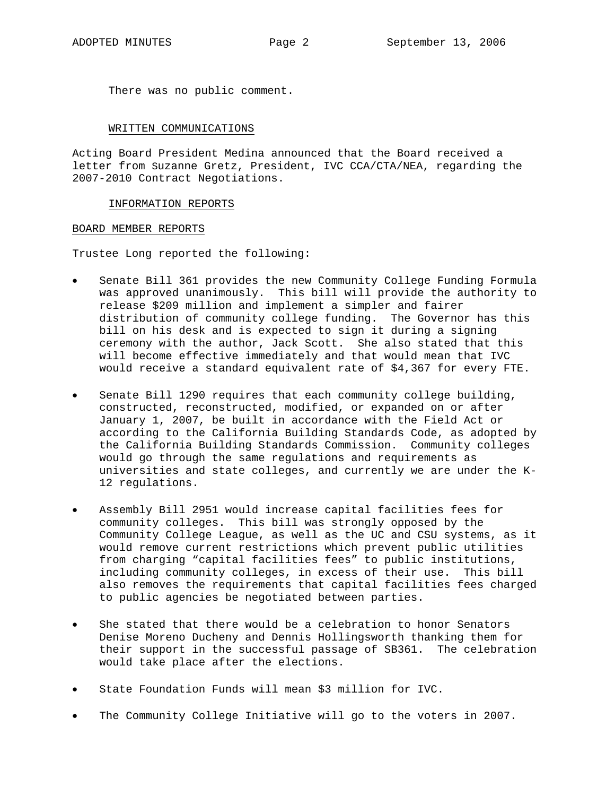There was no public comment.

#### WRITTEN COMMUNICATIONS

Acting Board President Medina announced that the Board received a letter from Suzanne Gretz, President, IVC CCA/CTA/NEA, regarding the 2007-2010 Contract Negotiations.

### INFORMATION REPORTS

#### BOARD MEMBER REPORTS

Trustee Long reported the following:

- Senate Bill 361 provides the new Community College Funding Formula was approved unanimously. This bill will provide the authority to release \$209 million and implement a simpler and fairer distribution of community college funding. The Governor has this bill on his desk and is expected to sign it during a signing ceremony with the author, Jack Scott. She also stated that this will become effective immediately and that would mean that IVC would receive a standard equivalent rate of \$4,367 for every FTE.
- Senate Bill 1290 requires that each community college building, constructed, reconstructed, modified, or expanded on or after January 1, 2007, be built in accordance with the Field Act or according to the California Building Standards Code, as adopted by the California Building Standards Commission. Community colleges would go through the same regulations and requirements as universities and state colleges, and currently we are under the K-12 regulations.
- Assembly Bill 2951 would increase capital facilities fees for community colleges. This bill was strongly opposed by the Community College League, as well as the UC and CSU systems, as it would remove current restrictions which prevent public utilities from charging "capital facilities fees" to public institutions, including community colleges, in excess of their use. This bill also removes the requirements that capital facilities fees charged to public agencies be negotiated between parties.
- She stated that there would be a celebration to honor Senators Denise Moreno Ducheny and Dennis Hollingsworth thanking them for their support in the successful passage of SB361. The celebration would take place after the elections.
- State Foundation Funds will mean \$3 million for IVC.
- The Community College Initiative will go to the voters in 2007.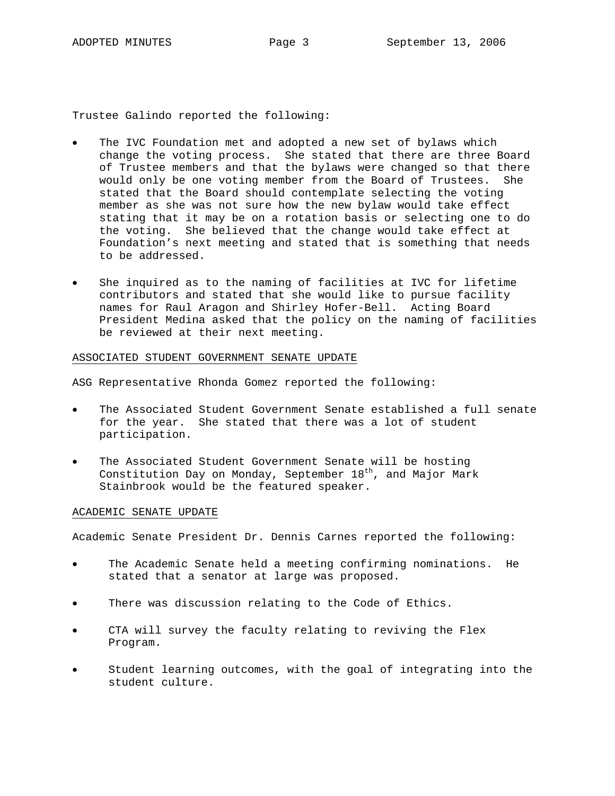Trustee Galindo reported the following:

- The IVC Foundation met and adopted a new set of bylaws which change the voting process. She stated that there are three Board of Trustee members and that the bylaws were changed so that there would only be one voting member from the Board of Trustees. She stated that the Board should contemplate selecting the voting member as she was not sure how the new bylaw would take effect stating that it may be on a rotation basis or selecting one to do the voting. She believed that the change would take effect at Foundation's next meeting and stated that is something that needs to be addressed.
- She inquired as to the naming of facilities at IVC for lifetime contributors and stated that she would like to pursue facility names for Raul Aragon and Shirley Hofer-Bell. Acting Board President Medina asked that the policy on the naming of facilities be reviewed at their next meeting.

### ASSOCIATED STUDENT GOVERNMENT SENATE UPDATE

ASG Representative Rhonda Gomez reported the following:

- The Associated Student Government Senate established a full senate for the year. She stated that there was a lot of student participation.
- The Associated Student Government Senate will be hosting Constitution Day on Monday, September  $18<sup>th</sup>$ , and Major Mark Stainbrook would be the featured speaker.

## ACADEMIC SENATE UPDATE

Academic Senate President Dr. Dennis Carnes reported the following:

- The Academic Senate held a meeting confirming nominations. He stated that a senator at large was proposed.
- There was discussion relating to the Code of Ethics.
- CTA will survey the faculty relating to reviving the Flex Program.
- Student learning outcomes, with the goal of integrating into the student culture.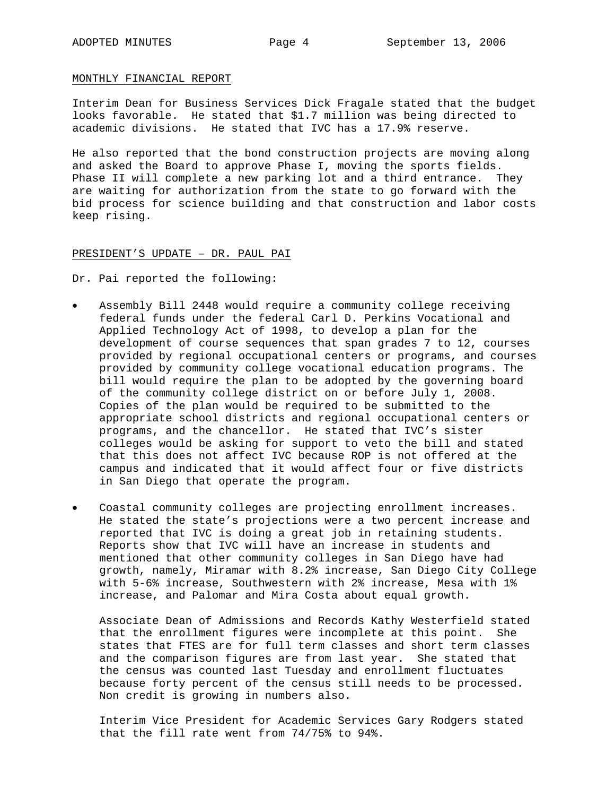#### MONTHLY FINANCIAL REPORT

Interim Dean for Business Services Dick Fragale stated that the budget looks favorable. He stated that \$1.7 million was being directed to academic divisions. He stated that IVC has a 17.9% reserve.

He also reported that the bond construction projects are moving along and asked the Board to approve Phase I, moving the sports fields. Phase II will complete a new parking lot and a third entrance. They are waiting for authorization from the state to go forward with the bid process for science building and that construction and labor costs keep rising.

### PRESIDENT'S UPDATE – DR. PAUL PAI

Dr. Pai reported the following:

- Assembly Bill 2448 would require a community college receiving federal funds under the federal Carl D. Perkins Vocational and Applied Technology Act of 1998, to develop a plan for the development of course sequences that span grades 7 to 12, courses provided by regional occupational centers or programs, and courses provided by community college vocational education programs. The bill would require the plan to be adopted by the governing board of the community college district on or before July 1, 2008. Copies of the plan would be required to be submitted to the appropriate school districts and regional occupational centers or programs, and the chancellor. He stated that IVC's sister colleges would be asking for support to veto the bill and stated that this does not affect IVC because ROP is not offered at the campus and indicated that it would affect four or five districts in San Diego that operate the program.
- Coastal community colleges are projecting enrollment increases. He stated the state's projections were a two percent increase and reported that IVC is doing a great job in retaining students. Reports show that IVC will have an increase in students and mentioned that other community colleges in San Diego have had growth, namely, Miramar with 8.2% increase, San Diego City College with 5-6% increase, Southwestern with 2% increase, Mesa with 1% increase, and Palomar and Mira Costa about equal growth.

Associate Dean of Admissions and Records Kathy Westerfield stated that the enrollment figures were incomplete at this point. She states that FTES are for full term classes and short term classes and the comparison figures are from last year. She stated that the census was counted last Tuesday and enrollment fluctuates because forty percent of the census still needs to be processed. Non credit is growing in numbers also.

 Interim Vice President for Academic Services Gary Rodgers stated that the fill rate went from 74/75% to 94%.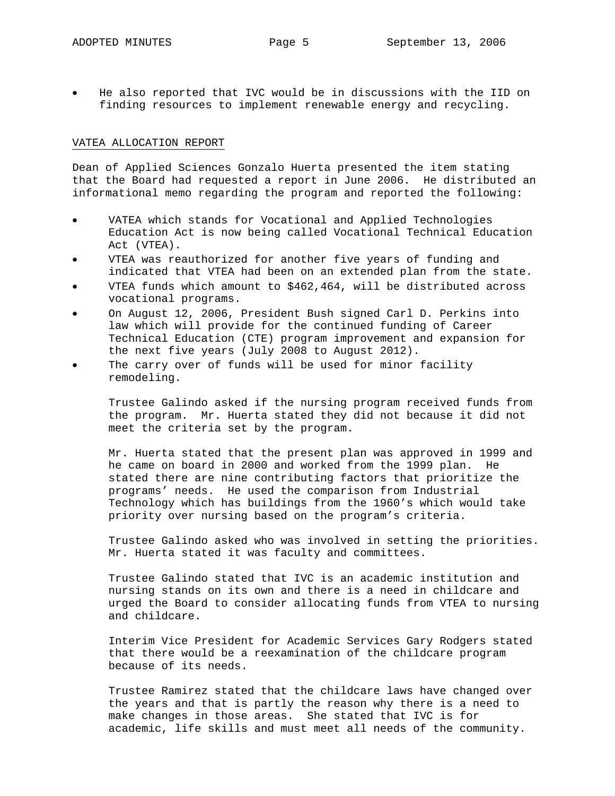• He also reported that IVC would be in discussions with the IID on finding resources to implement renewable energy and recycling.

#### VATEA ALLOCATION REPORT

Dean of Applied Sciences Gonzalo Huerta presented the item stating that the Board had requested a report in June 2006. He distributed an informational memo regarding the program and reported the following:

- VATEA which stands for Vocational and Applied Technologies Education Act is now being called Vocational Technical Education Act (VTEA).
- VTEA was reauthorized for another five years of funding and indicated that VTEA had been on an extended plan from the state.
- VTEA funds which amount to \$462,464, will be distributed across vocational programs.
- On August 12, 2006, President Bush signed Carl D. Perkins into law which will provide for the continued funding of Career Technical Education (CTE) program improvement and expansion for the next five years (July 2008 to August 2012).
- The carry over of funds will be used for minor facility remodeling.

Trustee Galindo asked if the nursing program received funds from the program. Mr. Huerta stated they did not because it did not meet the criteria set by the program.

Mr. Huerta stated that the present plan was approved in 1999 and he came on board in 2000 and worked from the 1999 plan. He stated there are nine contributing factors that prioritize the programs' needs. He used the comparison from Industrial Technology which has buildings from the 1960's which would take priority over nursing based on the program's criteria.

Trustee Galindo asked who was involved in setting the priorities. Mr. Huerta stated it was faculty and committees.

Trustee Galindo stated that IVC is an academic institution and nursing stands on its own and there is a need in childcare and urged the Board to consider allocating funds from VTEA to nursing and childcare.

Interim Vice President for Academic Services Gary Rodgers stated that there would be a reexamination of the childcare program because of its needs.

Trustee Ramirez stated that the childcare laws have changed over the years and that is partly the reason why there is a need to make changes in those areas. She stated that IVC is for academic, life skills and must meet all needs of the community.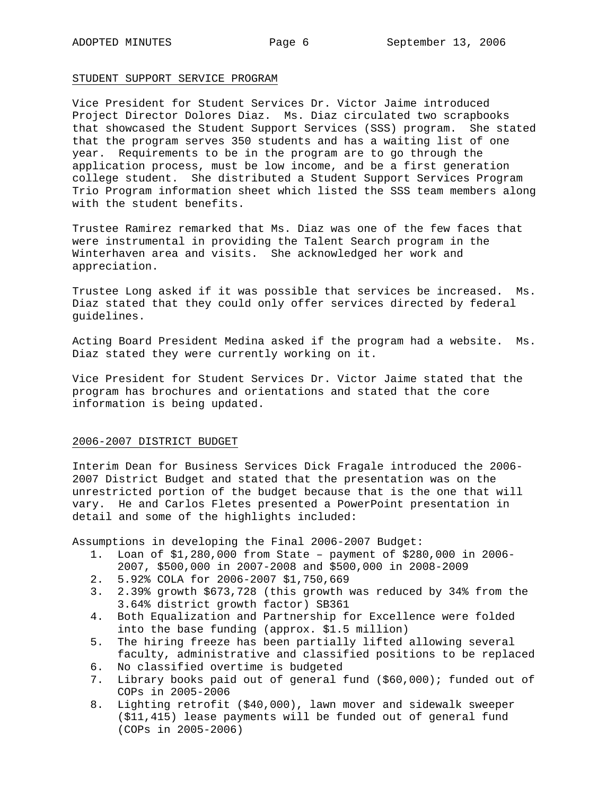#### STUDENT SUPPORT SERVICE PROGRAM

Vice President for Student Services Dr. Victor Jaime introduced Project Director Dolores Diaz. Ms. Diaz circulated two scrapbooks that showcased the Student Support Services (SSS) program. She stated that the program serves 350 students and has a waiting list of one year. Requirements to be in the program are to go through the application process, must be low income, and be a first generation college student. She distributed a Student Support Services Program Trio Program information sheet which listed the SSS team members along with the student benefits.

Trustee Ramirez remarked that Ms. Diaz was one of the few faces that were instrumental in providing the Talent Search program in the Winterhaven area and visits. She acknowledged her work and appreciation.

Trustee Long asked if it was possible that services be increased. Ms. Diaz stated that they could only offer services directed by federal guidelines.

Acting Board President Medina asked if the program had a website. Ms. Diaz stated they were currently working on it.

Vice President for Student Services Dr. Victor Jaime stated that the program has brochures and orientations and stated that the core information is being updated.

## 2006-2007 DISTRICT BUDGET

Interim Dean for Business Services Dick Fragale introduced the 2006- 2007 District Budget and stated that the presentation was on the unrestricted portion of the budget because that is the one that will vary. He and Carlos Fletes presented a PowerPoint presentation in detail and some of the highlights included:

Assumptions in developing the Final 2006-2007 Budget:

- 1. Loan of \$1,280,000 from State payment of \$280,000 in 2006- 2007, \$500,000 in 2007-2008 and \$500,000 in 2008-2009
- 2. 5.92% COLA for 2006-2007 \$1,750,669
- 3. 2.39% growth \$673,728 (this growth was reduced by 34% from the 3.64% district growth factor) SB361
- 4. Both Equalization and Partnership for Excellence were folded into the base funding (approx. \$1.5 million)
- 5. The hiring freeze has been partially lifted allowing several faculty, administrative and classified positions to be replaced
- 6. No classified overtime is budgeted
- 7. Library books paid out of general fund (\$60,000); funded out of COPs in 2005-2006
- 8. Lighting retrofit (\$40,000), lawn mover and sidewalk sweeper (\$11,415) lease payments will be funded out of general fund (COPs in 2005-2006)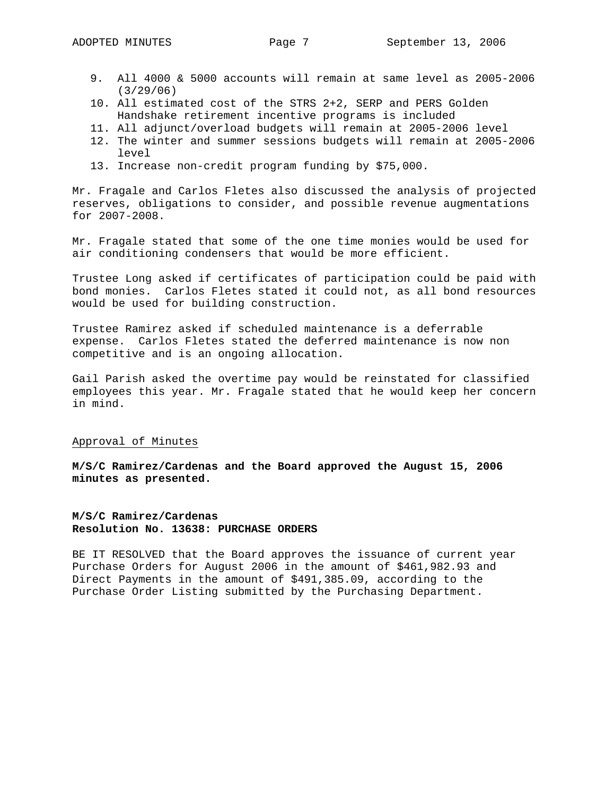- 9. All 4000 & 5000 accounts will remain at same level as 2005-2006 (3/29/06)
- 10. All estimated cost of the STRS 2+2, SERP and PERS Golden Handshake retirement incentive programs is included
- 11. All adjunct/overload budgets will remain at 2005-2006 level
- 12. The winter and summer sessions budgets will remain at 2005-2006 level
- 13. Increase non-credit program funding by \$75,000.

Mr. Fragale and Carlos Fletes also discussed the analysis of projected reserves, obligations to consider, and possible revenue augmentations for 2007-2008.

Mr. Fragale stated that some of the one time monies would be used for air conditioning condensers that would be more efficient.

Trustee Long asked if certificates of participation could be paid with bond monies. Carlos Fletes stated it could not, as all bond resources would be used for building construction.

Trustee Ramirez asked if scheduled maintenance is a deferrable expense. Carlos Fletes stated the deferred maintenance is now non competitive and is an ongoing allocation.

Gail Parish asked the overtime pay would be reinstated for classified employees this year. Mr. Fragale stated that he would keep her concern in mind.

### Approval of Minutes

**M/S/C Ramirez/Cardenas and the Board approved the August 15, 2006 minutes as presented.** 

# **M/S/C Ramirez/Cardenas Resolution No. 13638: PURCHASE ORDERS**

BE IT RESOLVED that the Board approves the issuance of current year Purchase Orders for August 2006 in the amount of \$461,982.93 and Direct Payments in the amount of \$491,385.09, according to the Purchase Order Listing submitted by the Purchasing Department.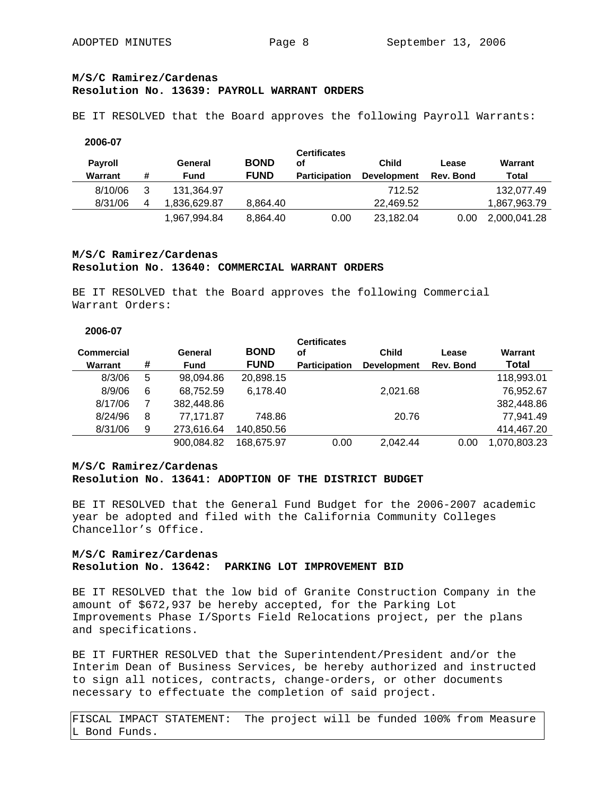# **M/S/C Ramirez/Cardenas Resolution No. 13639: PAYROLL WARRANT ORDERS**

BE IT RESOLVED that the Board approves the following Payroll Warrants:

#### **2006-07**

| <b>Pavroll</b><br>Warrant | #              | General<br>Fund | <b>BOND</b><br><b>FUND</b> | <b>Certificates</b><br>οf<br><b>Participation</b> | Child<br><b>Development</b> | Lease<br>Rev. Bond | Warrant<br>Total |
|---------------------------|----------------|-----------------|----------------------------|---------------------------------------------------|-----------------------------|--------------------|------------------|
| 8/10/06                   | 3              | 131.364.97      |                            |                                                   | 712.52                      |                    | 132.077.49       |
| 8/31/06                   | $\overline{4}$ | 1.836.629.87    | 8.864.40                   |                                                   | 22.469.52                   |                    | 1,867,963.79     |
|                           |                | 1,967,994.84    | 8,864.40                   | 0.00                                              | 23,182.04                   | 0.00               | 2,000,041.28     |

# **M/S/C Ramirez/Cardenas Resolution No. 13640: COMMERCIAL WARRANT ORDERS**

BE IT RESOLVED that the Board approves the following Commercial Warrant Orders:

## **2006-07**

| Commercial<br>Warrant | # | General<br><b>Fund</b> | <b>BOND</b><br><b>FUND</b> | <b>Certificates</b><br>οf<br><b>Participation</b> | <b>Child</b><br><b>Development</b> | Lease<br>Rev. Bond | Warrant<br>Total |
|-----------------------|---|------------------------|----------------------------|---------------------------------------------------|------------------------------------|--------------------|------------------|
| 8/3/06                | 5 | 98.094.86              | 20,898.15                  |                                                   |                                    |                    | 118,993.01       |
| 8/9/06                | 6 | 68,752.59              | 6,178.40                   |                                                   | 2,021.68                           |                    | 76,952.67        |
| 8/17/06               |   | 382,448.86             |                            |                                                   |                                    |                    | 382,448.86       |
| 8/24/96               | 8 | 77.171.87              | 748.86                     |                                                   | 20.76                              |                    | 77.941.49        |
| 8/31/06               | 9 | 273,616.64             | 140,850.56                 |                                                   |                                    |                    | 414,467.20       |
|                       |   | 900,084.82             | 168.675.97                 | 0.00                                              | 2.042.44                           | 0.00               | 1,070,803.23     |

## **M/S/C Ramirez/Cardenas Resolution No. 13641: ADOPTION OF THE DISTRICT BUDGET**

BE IT RESOLVED that the General Fund Budget for the 2006-2007 academic year be adopted and filed with the California Community Colleges Chancellor's Office.

# **M/S/C Ramirez/Cardenas Resolution No. 13642: PARKING LOT IMPROVEMENT BID**

BE IT RESOLVED that the low bid of Granite Construction Company in the amount of \$672,937 be hereby accepted, for the Parking Lot Improvements Phase I/Sports Field Relocations project, per the plans and specifications.

BE IT FURTHER RESOLVED that the Superintendent/President and/or the Interim Dean of Business Services, be hereby authorized and instructed to sign all notices, contracts, change-orders, or other documents necessary to effectuate the completion of said project.

FISCAL IMPACT STATEMENT: The project will be funded 100% from Measure L Bond Funds.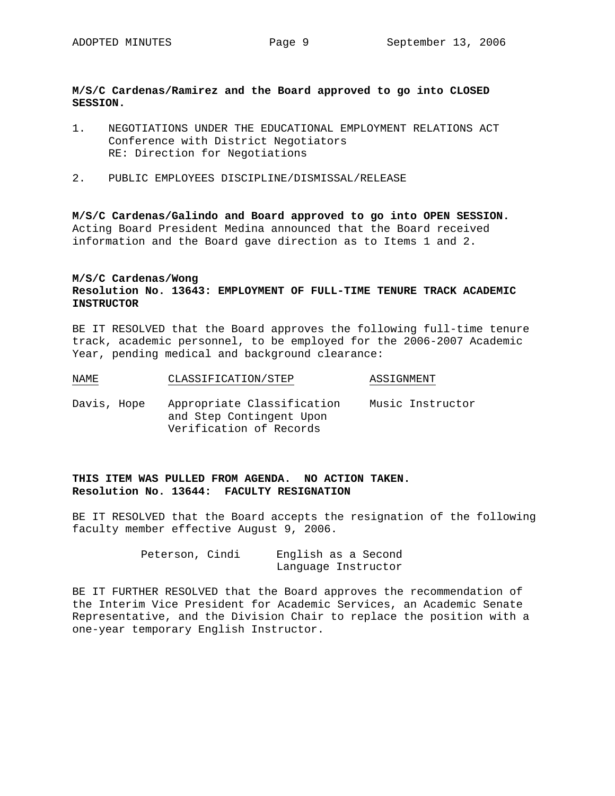## **M/S/C Cardenas/Ramirez and the Board approved to go into CLOSED SESSION.**

- 1. NEGOTIATIONS UNDER THE EDUCATIONAL EMPLOYMENT RELATIONS ACT Conference with District Negotiators RE: Direction for Negotiations
- 2. PUBLIC EMPLOYEES DISCIPLINE/DISMISSAL/RELEASE

**M/S/C Cardenas/Galindo and Board approved to go into OPEN SESSION.**  Acting Board President Medina announced that the Board received information and the Board gave direction as to Items 1 and 2.

# **M/S/C Cardenas/Wong Resolution No. 13643: EMPLOYMENT OF FULL-TIME TENURE TRACK ACADEMIC INSTRUCTOR**

BE IT RESOLVED that the Board approves the following full-time tenure track, academic personnel, to be employed for the 2006-2007 Academic Year, pending medical and background clearance:

- NAME CLASSIFICATION/STEP ASSIGNMENT
- Davis, Hope Appropriate Classification Music Instructor and Step Contingent Upon Verification of Records

# **THIS ITEM WAS PULLED FROM AGENDA. NO ACTION TAKEN. Resolution No. 13644: FACULTY RESIGNATION**

BE IT RESOLVED that the Board accepts the resignation of the following faculty member effective August 9, 2006.

> Peterson, Cindi English as a Second Language Instructor

BE IT FURTHER RESOLVED that the Board approves the recommendation of the Interim Vice President for Academic Services, an Academic Senate Representative, and the Division Chair to replace the position with a one-year temporary English Instructor.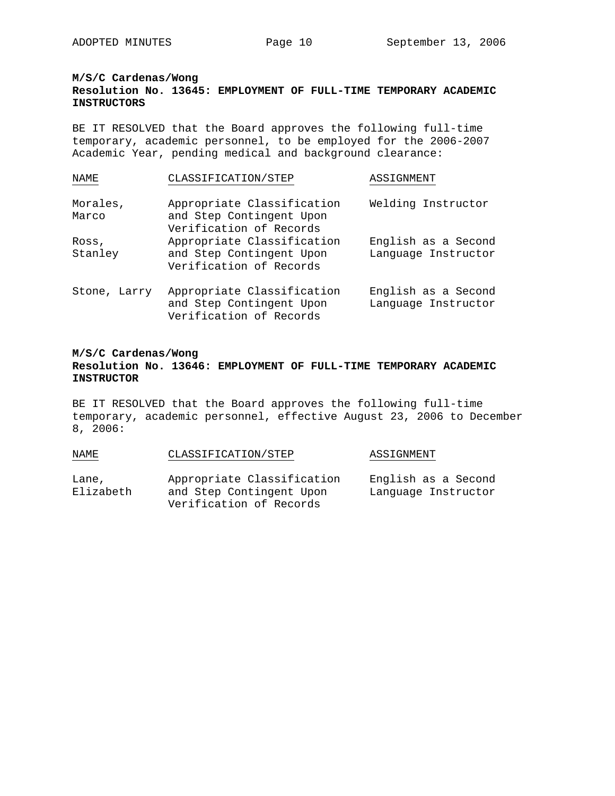## **M/S/C Cardenas/Wong**

# **Resolution No. 13645: EMPLOYMENT OF FULL-TIME TEMPORARY ACADEMIC INSTRUCTORS**

BE IT RESOLVED that the Board approves the following full-time temporary, academic personnel, to be employed for the 2006-2007 Academic Year, pending medical and background clearance:

| NAME              | CLASSIFICATION/STEP                                                               | ASSIGNMENT                                 |
|-------------------|-----------------------------------------------------------------------------------|--------------------------------------------|
| Morales,<br>Marco | Appropriate Classification<br>and Step Contingent Upon<br>Verification of Records | Welding Instructor                         |
| Ross,<br>Stanley  | Appropriate Classification<br>and Step Contingent Upon<br>Verification of Records | English as a Second<br>Language Instructor |
| Stone, Larry      | Appropriate Classification<br>and Step Contingent Upon<br>Verification of Records | English as a Second<br>Language Instructor |

# **M/S/C Cardenas/Wong Resolution No. 13646: EMPLOYMENT OF FULL-TIME TEMPORARY ACADEMIC INSTRUCTOR**

BE IT RESOLVED that the Board approves the following full-time temporary, academic personnel, effective August 23, 2006 to December 8, 2006:

| NAME               | CLASSIFICATION/STEP                                                               | ASSIGNMENT                                 |
|--------------------|-----------------------------------------------------------------------------------|--------------------------------------------|
| Lane,<br>Elizabeth | Appropriate Classification<br>and Step Contingent Upon<br>Verification of Records | English as a Second<br>Language Instructor |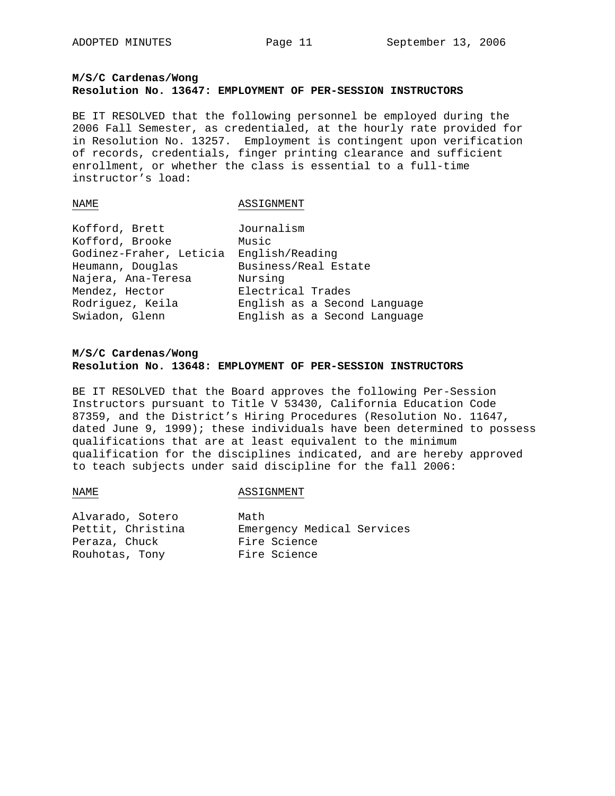# **M/S/C Cardenas/Wong Resolution No. 13647: EMPLOYMENT OF PER-SESSION INSTRUCTORS**

BE IT RESOLVED that the following personnel be employed during the 2006 Fall Semester, as credentialed, at the hourly rate provided for in Resolution No. 13257. Employment is contingent upon verification of records, credentials, finger printing clearance and sufficient enrollment, or whether the class is essential to a full-time instructor's load:

#### NAME ASSIGNMENT

| Kofford, Brett          | Journalism                   |
|-------------------------|------------------------------|
| Kofford, Brooke         | Music                        |
| Godinez-Fraher, Leticia | English/Reading              |
| Heumann, Douglas        | Business/Real Estate         |
| Najera, Ana-Teresa      | Nursing                      |
| Mendez, Hector          | Electrical Trades            |
| Rodriguez, Keila        | English as a Second Language |
| Swiadon, Glenn          | English as a Second Language |

# **M/S/C Cardenas/Wong Resolution No. 13648: EMPLOYMENT OF PER-SESSION INSTRUCTORS**

BE IT RESOLVED that the Board approves the following Per-Session Instructors pursuant to Title V 53430, California Education Code 87359, and the District's Hiring Procedures (Resolution No. 11647, dated June 9, 1999); these individuals have been determined to possess qualifications that are at least equivalent to the minimum qualification for the disciplines indicated, and are hereby approved to teach subjects under said discipline for the fall 2006:

#### NAME ASSIGNMENT

Alvarado, Sotero Math Peraza, Chuck Fire Science Rouhotas, Tony Fire Science

Pettit, Christina Emergency Medical Services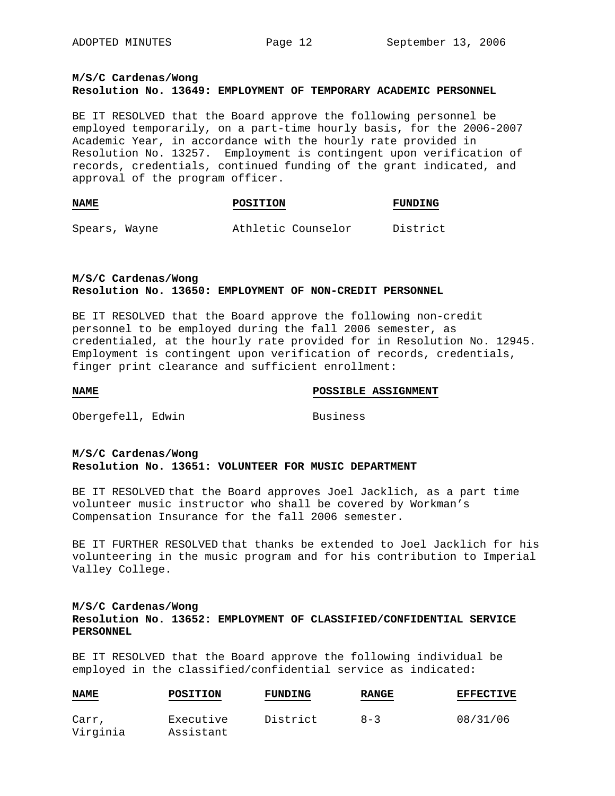# **M/S/C Cardenas/Wong Resolution No. 13649: EMPLOYMENT OF TEMPORARY ACADEMIC PERSONNEL**

BE IT RESOLVED that the Board approve the following personnel be employed temporarily, on a part-time hourly basis, for the 2006-2007 Academic Year, in accordance with the hourly rate provided in Resolution No. 13257. Employment is contingent upon verification of records, credentials, continued funding of the grant indicated, and approval of the program officer.

| <b>NAME</b> | <b>POSITION</b> | FUNDING |
|-------------|-----------------|---------|
|             |                 |         |
|             |                 |         |

Spears, Wayne **Athletic Counselor** District

## **M/S/C Cardenas/Wong Resolution No. 13650: EMPLOYMENT OF NON-CREDIT PERSONNEL**

BE IT RESOLVED that the Board approve the following non-credit personnel to be employed during the fall 2006 semester, as credentialed, at the hourly rate provided for in Resolution No. 12945. Employment is contingent upon verification of records, credentials, finger print clearance and sufficient enrollment:

**NAME** POSSIBLE ASSIGNMENT

Obergefell, Edwin Business

## **M/S/C Cardenas/Wong Resolution No. 13651: VOLUNTEER FOR MUSIC DEPARTMENT**

BE IT RESOLVED that the Board approves Joel Jacklich, as a part time volunteer music instructor who shall be covered by Workman's Compensation Insurance for the fall 2006 semester.

BE IT FURTHER RESOLVED that thanks be extended to Joel Jacklich for his volunteering in the music program and for his contribution to Imperial Valley College.

# **M/S/C Cardenas/Wong Resolution No. 13652: EMPLOYMENT OF CLASSIFIED/CONFIDENTIAL SERVICE PERSONNEL**

BE IT RESOLVED that the Board approve the following individual be employed in the classified/confidential service as indicated:

| <b>NAME</b><br>$\qquad \qquad \overbrace{ \qquad \qquad }$ | POSITION  | FUNDING  | <b>RANGE</b> | <b>EFFECTIVE</b> |
|------------------------------------------------------------|-----------|----------|--------------|------------------|
| Carr,                                                      | Executive | District | $8 - 3$      | 08/31/06         |
| Virginia                                                   | Assistant |          |              |                  |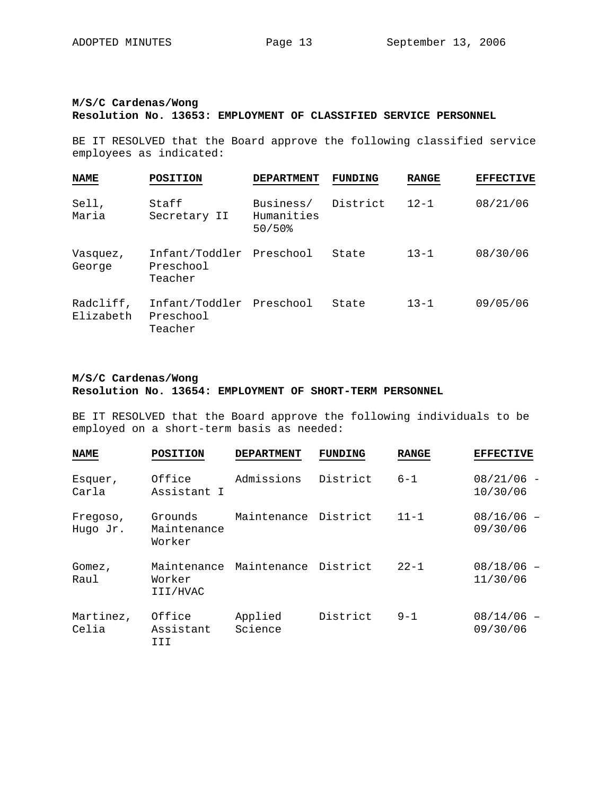# **M/S/C Cardenas/Wong Resolution No. 13653: EMPLOYMENT OF CLASSIFIED SERVICE PERSONNEL**

BE IT RESOLVED that the Board approve the following classified service employees as indicated:

| <b>NAME</b>            | POSITION                                         | <b>DEPARTMENT</b>                               | FUNDING  | <b>RANGE</b> | <b>EFFECTIVE</b> |
|------------------------|--------------------------------------------------|-------------------------------------------------|----------|--------------|------------------|
| Sell,<br>Maria         | Staff<br>Secretary II                            | Business/<br>Humanities<br>$50/50$ <sup>8</sup> | District | $12 - 1$     | 08/21/06         |
| Vasquez,<br>George     | Infant/Toddler<br>Preschool<br>Teacher           | Preschool                                       | State    | $13 - 1$     | 08/30/06         |
| Radcliff,<br>Elizabeth | Infant/Toddler Preschool<br>Preschool<br>Teacher |                                                 | State    | $13 - 1$     | 09/05/06         |

# **M/S/C Cardenas/Wong Resolution No. 13654: EMPLOYMENT OF SHORT-TERM PERSONNEL**

BE IT RESOLVED that the Board approve the following individuals to be employed on a short-term basis as needed:

| <b>NAME</b>          | <b>POSITION</b>                   | <b>DEPARTMENT</b>    | <b>FUNDING</b> | <b>RANGE</b> | <b>EFFECTIVE</b>         |
|----------------------|-----------------------------------|----------------------|----------------|--------------|--------------------------|
| Esquer,<br>Carla     | Office<br>Assistant I             | Admissions           | District       | $6 - 1$      | $08/21/06 -$<br>10/30/06 |
| Freqoso,<br>Hugo Jr. | Grounds<br>Maintenance<br>Worker  | Maintenance District |                | $11 - 1$     | $08/16/06 -$<br>09/30/06 |
| Gomez,<br>Raul       | Maintenance<br>Worker<br>III/HVAC | Maintenance District |                | $22 - 1$     | $08/18/06$ -<br>11/30/06 |
| Martinez,<br>Celia   | Office<br>Assistant<br>III        | Applied<br>Science   | District       | $9 - 1$      | $08/14/06 -$<br>09/30/06 |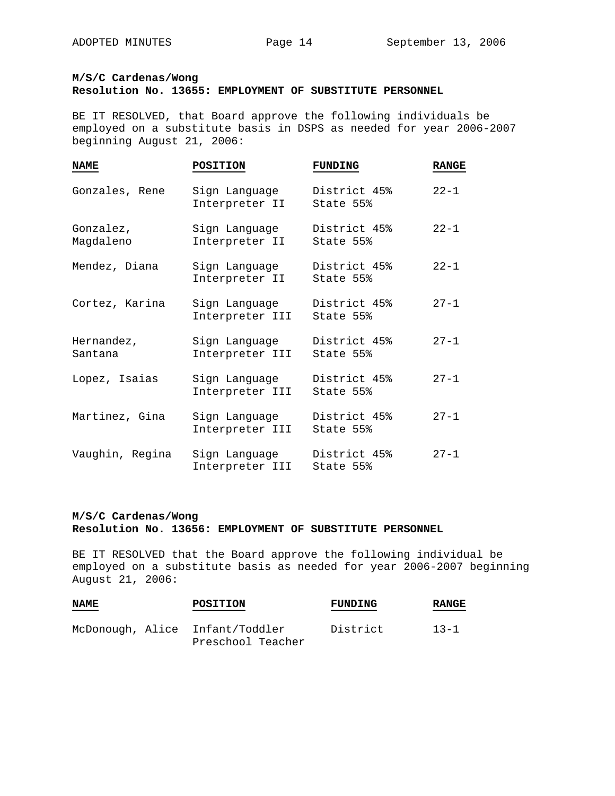**M/S/C Cardenas/Wong** 

## **Resolution No. 13655: EMPLOYMENT OF SUBSTITUTE PERSONNEL**

BE IT RESOLVED, that Board approve the following individuals be employed on a substitute basis in DSPS as needed for year 2006-2007 beginning August 21, 2006:

| <b>NAME</b>            | POSITION                         | <b>FUNDING</b>            | <b>RANGE</b> |
|------------------------|----------------------------------|---------------------------|--------------|
| Gonzales, Rene         | Sign Language<br>Interpreter II  | District 45%<br>State 55% | $22 - 1$     |
| Gonzalez,<br>Magdaleno | Sign Language<br>Interpreter II  | District 45%<br>State 55% | $22 - 1$     |
| Mendez, Diana          | Sign Language<br>Interpreter II  | District 45%<br>State 55% | $22 - 1$     |
| Cortez, Karina         | Sign Language<br>Interpreter III | District 45%<br>State 55% | $27 - 1$     |
| Hernandez,<br>Santana  | Sign Language<br>Interpreter III | District 45%<br>State 55% | $27 - 1$     |
| Lopez, Isaias          | Sign Language<br>Interpreter III | District 45%<br>State 55% | $27 - 1$     |
| Martinez, Gina         | Sign Language<br>Interpreter III | District 45%<br>State 55% | $27 - 1$     |
| Vaughin, Regina        | Sign Language<br>Interpreter III | District 45%<br>State 55% | $27 - 1$     |

## **M/S/C Cardenas/Wong Resolution No. 13656: EMPLOYMENT OF SUBSTITUTE PERSONNEL**

BE IT RESOLVED that the Board approve the following individual be employed on a substitute basis as needed for year 2006-2007 beginning August 21, 2006:

| <b>NAME</b> | <b>POSITION</b>                                      | FUNDING  | RANGE    |
|-------------|------------------------------------------------------|----------|----------|
|             | McDonough, Alice Infant/Toddler<br>Preschool Teacher | District | $13 - 1$ |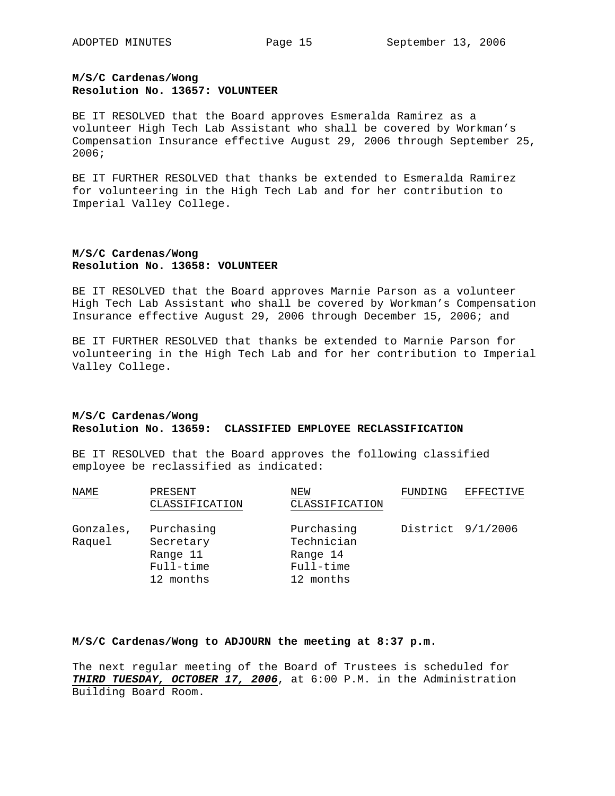# **M/S/C Cardenas/Wong Resolution No. 13657: VOLUNTEER**

BE IT RESOLVED that the Board approves Esmeralda Ramirez as a volunteer High Tech Lab Assistant who shall be covered by Workman's Compensation Insurance effective August 29, 2006 through September 25, 2006;

BE IT FURTHER RESOLVED that thanks be extended to Esmeralda Ramirez for volunteering in the High Tech Lab and for her contribution to Imperial Valley College.

# **M/S/C Cardenas/Wong Resolution No. 13658: VOLUNTEER**

BE IT RESOLVED that the Board approves Marnie Parson as a volunteer High Tech Lab Assistant who shall be covered by Workman's Compensation Insurance effective August 29, 2006 through December 15, 2006; and

BE IT FURTHER RESOLVED that thanks be extended to Marnie Parson for volunteering in the High Tech Lab and for her contribution to Imperial Valley College.

## **M/S/C Cardenas/Wong Resolution No. 13659: CLASSIFIED EMPLOYEE RECLASSIFICATION**

BE IT RESOLVED that the Board approves the following classified employee be reclassified as indicated:

| NAME                | PRESENT<br>CLASSIFICATION                                     | NEW<br>CLASSIFICATION                                          | FUNDING | EFFECTIVE         |
|---------------------|---------------------------------------------------------------|----------------------------------------------------------------|---------|-------------------|
|                     |                                                               |                                                                |         |                   |
| Gonzales,<br>Raquel | Purchasing<br>Secretary<br>Range 11<br>Full-time<br>12 months | Purchasing<br>Technician<br>Range 14<br>Full-time<br>12 months |         | District 9/1/2006 |

### **M/S/C Cardenas/Wong to ADJOURN the meeting at 8:37 p.m.**

The next regular meeting of the Board of Trustees is scheduled for *THIRD TUESDAY, OCTOBER 17, 2006*, at 6:00 P.M. in the Administration Building Board Room.